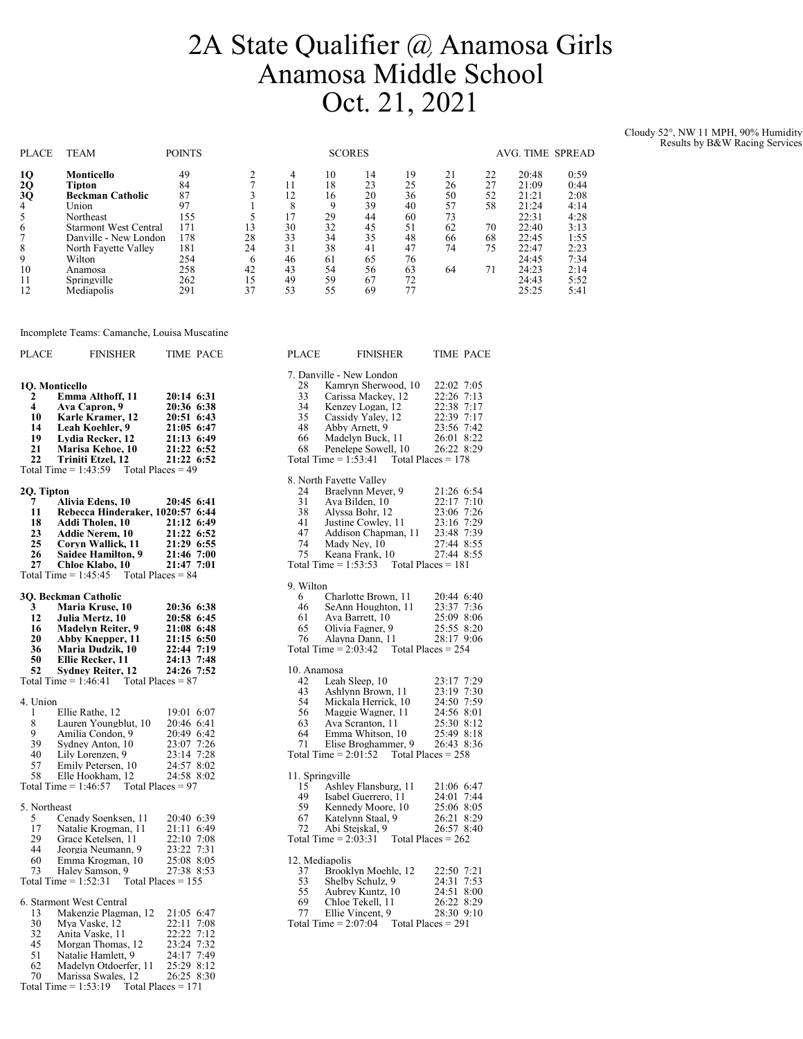## 2A State Qualifier @ Anamosa Girls Anamosa Middle School Oct. 21, 2021

Cloudy 52°, NW 11 MPH, 90% Humidity Results by B&W Racing Services

| <b>PLACE</b> | <b>TEAM</b>                  | <b>POINTS</b> |    | <b>SCORES</b> |          |          |          |          |          | AVG. TIME SPREAD |              |  |
|--------------|------------------------------|---------------|----|---------------|----------|----------|----------|----------|----------|------------------|--------------|--|
| 10<br>2Q     | Monticello<br>Tipton         | 49<br>84      |    | 4             | 10<br>18 | 14<br>23 | 19<br>25 | 21<br>26 | 22<br>27 | 20:48<br>21:09   | 0:59<br>0:44 |  |
| 3Q           | <b>Beckman Catholic</b>      | 87            |    | 12            | 16       | 20       | 36       | 50       | 52       | 21:21            | 2:08         |  |
| 4            | Union                        | 97            |    |               | 9        | 39       | 40       | 57       | 58       | 21:24            | 4:14         |  |
|              | Northeast                    | 155           |    |               | 29       | 44       | 60       | 73       |          | 22:31            | 4:28         |  |
| 6            | <b>Starmont West Central</b> | 171           | 13 | 30            | 32       | 45       | 51       | 62       | 70       | 22:40            | 3:13         |  |
|              | Danville - New London        | 178           | 28 | 33            | 34       | 35       | 48       | 66       | 68       | 22:45            | 1:55         |  |
| 8            | North Fayette Valley         | 181           | 24 | 31            | 38       | 41       | 47       | 74       | 75       | 22:47            | 2:23         |  |
| 9            | Wilton                       | 254           | 6  | 46            | 61       | 65       | 76       |          |          | 24:45            | 7:34         |  |
| 10           | Anamosa                      | 258           | 42 | 43            | 54       | 56       | 63       | 64       | 71       | 24:23            | 2:14         |  |
| 11           | Springville                  | 262           | 15 | 49            | 59       | 67       | 72       |          |          | 24:43            | 5:52         |  |
| 12           | Mediapolis                   | 291           | 37 | 53            | 55       | 69       |          |          |          | 25:25            | 5:41         |  |

| <b>PLACE</b>            | <b>FINISHER</b>                                                   | <b>TIME PACE</b>         | <b>PLACE</b>    | <b>FINISHER</b>                             | <b>TIME PACE</b>                   |
|-------------------------|-------------------------------------------------------------------|--------------------------|-----------------|---------------------------------------------|------------------------------------|
|                         |                                                                   |                          |                 | 7. Danville - New London                    |                                    |
|                         | 10. Monticello                                                    |                          | 28              | Kamryn Sherwood, 10                         | 22:02 7:05                         |
| $\mathbf{2}$            | Emma Althoff, 11                                                  | 20:14 6:31               | 33              | Carissa Mackey, 12                          | 22:26 7:13                         |
| $\overline{\mathbf{4}}$ | Ava Capron. 9                                                     | 20:36 6:38               | 34              | Kenzev Logan, 12                            | 22:38 7:17                         |
| 10                      | Karle Kramer, 12                                                  | 20:51 6:43               | 35              | Cassidy Yaley, 12                           | 22:39 7:17                         |
| 14                      | Leah Koehler, 9                                                   | 21:05 6:47               | 48              | Abby Arnett, 9                              | 23:56 7:42                         |
| 19                      | Lydia Recker, 12                                                  | 21:13 6:49               | 66              | Madelyn Buck, 11                            | 26:01 8:22                         |
| 21                      | Marisa Kehoe, 10                                                  | 21:22 6:52               | 68              | Penelepe Sowell, 10                         | 26:22 8:29                         |
| 22                      | Triniti Etzel, 12<br>Total Time = $1:43:59$ Total Places = 49     | 21:22 6:52               |                 | Total Time = $1:53:41$ Total Places = 178   |                                    |
|                         |                                                                   |                          |                 | 8. North Favette Valley                     |                                    |
| 2Q. Tipton              |                                                                   |                          | 24              | Braelynn Meyer, 9                           | 21:26 6:54                         |
| 7                       | Alivia Edens. 10                                                  | 20:45 6:41               | 31              | Ava Bilden, 10                              | 22:17 7:10                         |
| 11                      | Rebecca Hinderaker, 1020:57 6:44                                  |                          | 38              | Alyssa Bohr, 12                             | 23:06 7:26                         |
| 18                      | <b>Addi Tholen, 10</b>                                            | 21:12 6:49               | 41              | Justine Cowley, 11                          | 23:16 7:29                         |
| 23                      | <b>Addie Nerem. 10</b>                                            | 21:22 6:52               | 47              | Addison Chapman, 11                         | 23:48 7:39                         |
| 25                      | Corvn Wallick, 11                                                 | 21:29 6:55               | 74              | Mady Nev. 10                                | 27:44 8:55                         |
| 26<br>27                | <b>Saidee Hamilton, 9</b><br>Chloe Klabo, 10                      | 21:46 7:00<br>21:47 7:01 | 75              | Keana Frank, 10<br>Total Time $= 1:53:53$   | 27:44 8:55<br>Total Places $= 181$ |
|                         | Total Time = $1:45:45$ Total Places = 84                          |                          |                 |                                             |                                    |
|                         |                                                                   |                          | 9. Wilton       |                                             |                                    |
|                         | 3O. Beckman Catholic                                              |                          | 6               | Charlotte Brown, 11                         | 20:44 6:40                         |
| 3                       | Maria Kruse, 10                                                   | 20:36 6:38               | 46              | SeAnn Houghton, 11                          | 23:37 7:36                         |
| 12<br>16                | Julia Mertz. 10<br><b>Madelyn Reiter, 9</b>                       | 20:58 6:45<br>21:08 6:48 | 61<br>65        | Ava Barrett, 10<br>Olivia Fagner, 9         | 25:09 8:06<br>25:55 8:20           |
| 20                      | <b>Abby Knepper, 11</b>                                           | $21:15$ 6:50             | 76              | Alayna Dann, 11                             | 28:17 9:06                         |
| 36                      | Maria Dudzik, 10                                                  | 22:44 7:19               |                 | Total Time = $2:03:42$ Total Places = $254$ |                                    |
| 50                      | Ellie Recker, 11                                                  | 24:13 7:48               |                 |                                             |                                    |
| 52                      | <b>Sydney Reiter, 12</b>                                          | 24:26 7:52               | 10. Anamosa     |                                             |                                    |
|                         | Total Time = $1:46:41$ Total Places = 87                          |                          | 42              | Leah Sleep, 10                              | 23:17 7:29                         |
|                         |                                                                   |                          | 43              | Ashlynn Brown, 11                           | 23:19 7:30                         |
| 4. Union                |                                                                   |                          | 54              | Mickala Herrick, 10                         | 24:50 7:59                         |
| 1                       | Ellie Rathe, 12                                                   | 19:01 6:07               | 56              | Maggie Wagner, 11                           | 24:56 8:01                         |
| 8                       | Lauren Youngblut, 10                                              | 20:46 6:41               | 63              | Ava Scranton, 11                            | 25:30 8:12                         |
| 9                       | Amilia Condon, 9                                                  | 20:49 6:42               | 64              | Emma Whitson, 10                            | 25:49 8:18                         |
| 39                      | Sydney Anton, 10                                                  | 23:07 7:26               | 71              | Elise Broghammer, 9                         | 26:43 8:36                         |
| 40                      | Lily Lorenzen, 9                                                  | 23:14 7:28               |                 | Total Time $= 2:01:52$                      | Total Places $= 258$               |
| 57                      | Emily Petersen, 10                                                | 24:57 8:02               |                 |                                             |                                    |
| 58                      | Elle Hookham, 12<br>Total Time = $1:46:57$<br>Total Places $= 97$ | 24:58 8:02               | 11. Springville | Ashlev Flansburg, 11                        | 21:06 6:47                         |
|                         |                                                                   |                          | 15<br>49        | Isabel Guerrero, 11                         | 24:01 7:44                         |
| 5. Northeast            |                                                                   |                          | 59              | Kennedy Moore, 10                           | 25:06 8:05                         |
| 5                       | Cenady Soenksen, 11                                               | 20:40 6:39               | 67              | Katelynn Staal, 9                           | 26:21 8:29                         |
| 17                      | Natalie Krogman, 11                                               | 21:11 6:49               | 72              | Abi Steiskal, 9                             | 26:57 8:40                         |
| 29                      | Grace Ketelsen, 11                                                | 22:10 7:08               |                 | Total Time $= 2:03:31$                      | Total Places $= 262$               |
| 44                      | Jeorgia Neumann, 9                                                | 23:22 7:31               |                 |                                             |                                    |
| 60                      | Emma Krogman, 10                                                  | 25:08 8:05               | 12. Mediapolis  |                                             |                                    |
| 73                      | Haley Samson, 9                                                   | 27:38 8:53               | 37              | Brooklyn Moehle, 12                         | 22:50 7:21                         |
|                         | Total Time $= 1:52:31$                                            | Total Places $= 155$     | 53              | Shelby Schulz, 9                            | 24:31 7:53                         |
|                         |                                                                   |                          | 55              | Aubrey Kuntz, 10                            | 24:51 8:00                         |
|                         | 6. Starmont West Central                                          |                          | 69              | Chloe Tekell, 11                            | 26:22 8:29                         |
| 13                      | Makenzie Plagman, 12                                              | 21:05 6:47               | 77              | Ellie Vincent, 9                            | 28:30 9:10                         |
| 30                      | Mva Vaske, 12                                                     | 22:11 7:08               |                 | Total Time $= 2:07:04$                      | Total Places $= 291$               |
| 32                      | Anita Vaske, 11                                                   | 22:22 7:12               |                 |                                             |                                    |
| 45                      | Morgan Thomas, 12                                                 | 23:24 7:32               |                 |                                             |                                    |
| 51                      | Natalie Hamlett, 9                                                | 24:17 7:49               |                 |                                             |                                    |
| 62                      | Madelyn Otdoerfer, 11                                             | 25:29 8:12               |                 |                                             |                                    |
| 70                      | Marissa Swales, 12                                                | 26:25 8:30               |                 |                                             |                                    |

Incomplete Teams: Camanche, Louisa Muscatine

Total Time =  $1:53:19$  Total Places = 171